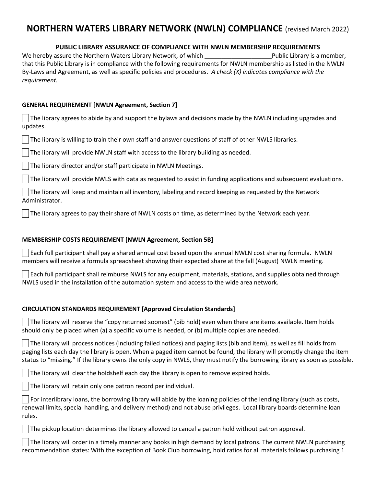# **NORTHERN WATERS LIBRARY NETWORK (NWLN) COMPLIANCE** (revised March 2022)

# **PUBLIC LIBRARY ASSURANCE OF COMPLIANCE WITH NWLN MEMBERSHIP REQUIREMENTS**

We hereby assure the Northern Waters Library Network, of which \_\_\_\_\_\_\_\_\_\_\_\_\_\_\_\_\_\_\_\_Public Library is a member, that this Public Library is in compliance with the following requirements for NWLN membership as listed in the NWLN By-Laws and Agreement, as well as specific policies and procedures. *A check (X) indicates compliance with the requirement.* 

## **GENERAL REQUIREMENT [NWLN Agreement, Section 7]**

 The library agrees to abide by and support the bylaws and decisions made by the NWLN including upgrades and updates.

The library is willing to train their own staff and answer questions of staff of other NWLS libraries.

The library will provide NWLN staff with access to the library building as needed.

The library director and/or staff participate in NWLN Meetings.

The library will provide NWLS with data as requested to assist in funding applications and subsequent evaluations.

 The library will keep and maintain all inventory, labeling and record keeping as requested by the Network Administrator.

The library agrees to pay their share of NWLN costs on time, as determined by the Network each year.

## **MEMBERSHIP COSTS REQUIREMENT [NWLN Agreement, Section 5B]**

 Each full participant shall pay a shared annual cost based upon the annual NWLN cost sharing formula. NWLN members will receive a formula spreadsheet showing their expected share at the fall (August) NWLN meeting.

 Each full participant shall reimburse NWLS for any equipment, materials, stations, and supplies obtained through NWLS used in the installation of the automation system and access to the wide area network.

## **CIRCULATION STANDARDS REQUIREMENT [Approved Circulation Standards]**

 The library will reserve the "copy returned soonest" (bib hold) even when there are items available. Item holds should only be placed when (a) a specific volume is needed, or (b) multiple copies are needed.

 The library will process notices (including failed notices) and paging lists (bib and item), as well as fill holds from paging lists each day the library is open. When a paged item cannot be found, the library will promptly change the item status to "missing." If the library owns the only copy in NWLS, they must notify the borrowing library as soon as possible.

The library will clear the holdshelf each day the library is open to remove expired holds.

The library will retain only one patron record per individual.

 For interlibrary loans, the borrowing library will abide by the loaning policies of the lending library (such as costs, renewal limits, special handling, and delivery method) and not abuse privileges. Local library boards determine loan rules.

The pickup location determines the library allowed to cancel a patron hold without patron approval.

 The library will order in a timely manner any books in high demand by local patrons. The current NWLN purchasing recommendation states: With the exception of Book Club borrowing, hold ratios for all materials follows purchasing 1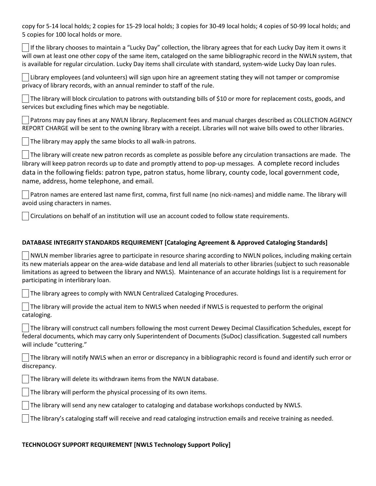copy for 5-14 local holds; 2 copies for 15-29 local holds; 3 copies for 30-49 local holds; 4 copies of 50-99 local holds; and 5 copies for 100 local holds or more.

 If the library chooses to maintain a "Lucky Day" collection, the library agrees that for each Lucky Day item it owns it will own at least one other copy of the same item, cataloged on the same bibliographic record in the NWLN system, that is available for regular circulation. Lucky Day items shall circulate with standard, system-wide Lucky Day loan rules.

 Library employees (and volunteers) will sign upon hire an agreement stating they will not tamper or compromise privacy of library records, with an annual reminder to staff of the rule.

 The library will block circulation to patrons with outstanding bills of \$10 or more for replacement costs, goods, and services but excluding fines which may be negotiable.

 Patrons may pay fines at any NWLN library. Replacement fees and manual charges described as COLLECTION AGENCY REPORT CHARGE will be sent to the owning library with a receipt. Libraries will not waive bills owed to other libraries.

The library may apply the same blocks to all walk-in patrons.

 The library will create new patron records as complete as possible before any circulation transactions are made. The library will keep patron records up to date and promptly attend to pop-up messages. A complete record includes data in the following fields: patron type, patron status, home library, county code, local government code, name, address, home telephone, and email.

 Patron names are entered last name first, comma, first full name (no nick-names) and middle name. The library will avoid using characters in names.

Circulations on behalf of an institution will use an account coded to follow state requirements.

#### **DATABASE INTEGRITY STANDARDS REQUIREMENT [Cataloging Agreement & Approved Cataloging Standards]**

 $\vert\,\,\,\vert$ NWLN member libraries agree to participate in resource sharing according to NWLN polices, including making certain its new materials appear on the area-wide database and lend all materials to other libraries (subject to such reasonable limitations as agreed to between the library and NWLS). Maintenance of an accurate holdings list is a requirement for participating in interlibrary loan.

The library agrees to comply with NWLN Centralized Cataloging Procedures.

 The library will provide the actual item to NWLS when needed if NWLS is requested to perform the original cataloging.

 The library will construct call numbers following the most current Dewey Decimal Classification Schedules, except for federal documents, which may carry only Superintendent of Documents (SuDoc) classification. Suggested call numbers will include "cuttering."

 The library will notify NWLS when an error or discrepancy in a bibliographic record is found and identify such error or discrepancy.

The library will delete its withdrawn items from the NWLN database.

The library will perform the physical processing of its own items.

The library will send any new cataloger to cataloging and database workshops conducted by NWLS.

The library's cataloging staff will receive and read cataloging instruction emails and receive training as needed.

#### **TECHNOLOGY SUPPORT REQUIREMENT [NWLS Technology Support Policy]**